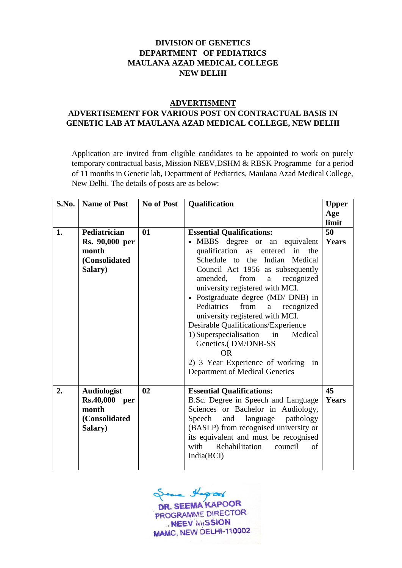# **DIVISION OF GENETICS DEPARTMENT OF PEDIATRICS MAULANA AZAD MEDICAL COLLEGE NEW DELHI**

#### **ADVERTISMENT**

## **ADVERTISEMENT FOR VARIOUS POST ON CONTRACTUAL BASIS IN GENETIC LAB AT MAULANA AZAD MEDICAL COLLEGE, NEW DELHI**

Application are invited from eligible candidates to be appointed to work on purely temporary contractual basis, Mission NEEV,DSHM & RBSK Programme for a period of 11 months in Genetic lab, Department of Pediatrics, Maulana Azad Medical College, New Delhi. The details of posts are as below:

| S.No. | <b>Name of Post</b>                                                                | <b>No of Post</b> | Qualification                                                                                                                                                                                                                                                                                                                                                                                                                                                                                                                                                             | <b>Upper</b><br>Age<br>limit |
|-------|------------------------------------------------------------------------------------|-------------------|---------------------------------------------------------------------------------------------------------------------------------------------------------------------------------------------------------------------------------------------------------------------------------------------------------------------------------------------------------------------------------------------------------------------------------------------------------------------------------------------------------------------------------------------------------------------------|------------------------------|
| 1.    | Pediatrician<br>Rs. 90,000 per<br>month<br>(Consolidated<br>Salary)                | 01                | <b>Essential Qualifications:</b><br>• MBBS degree or an equivalent<br>qualification as entered in the<br>Schedule to the Indian Medical<br>Council Act 1956 as subsequently<br>from<br>amended,<br>recognized<br>a<br>university registered with MCI.<br>· Postgraduate degree (MD/ DNB) in<br>Pediatrics<br>from<br>recognized<br>a<br>university registered with MCI.<br>Desirable Qualifications/Experience<br>1) Superspecialisation<br>in<br>Medical<br>Genetics.( DM/DNB-SS<br><b>OR</b><br>2) 3 Year Experience of working<br>in<br>Department of Medical Genetics | 50<br><b>Years</b>           |
| 2.    | <b>Audiologist</b><br><b>Rs.40,000</b><br>per<br>month<br>(Consolidated<br>Salary) | 02                | <b>Essential Qualifications:</b><br>B.Sc. Degree in Speech and Language<br>Sciences or Bachelor in Audiology,<br>language<br>pathology<br>Speech<br>and<br>(BASLP) from recognised university or<br>its equivalent and must be recognised<br>Rehabilitation<br>with<br>council<br>of<br>India(RCI)                                                                                                                                                                                                                                                                        | 45<br><b>Years</b>           |

Harry DR. SEEMA KAPOOR PROGRAMME DIRECTOR NEEV MISSION MAMC, NEW DELHI-110002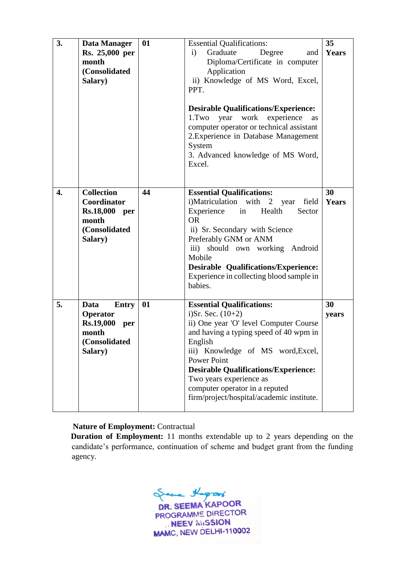| 3. | Data Manager<br>Rs. 25,000 per<br>month<br>(Consolidated<br>Salary)                       | 01 | <b>Essential Qualifications:</b><br>$\mathbf{i}$<br>Graduate<br>Degree<br>and<br>Diploma/Certificate in computer<br>Application<br>ii) Knowledge of MS Word, Excel,<br>PPT.<br><b>Desirable Qualifications/Experience:</b><br>1.Two<br>work<br>experience<br>year<br><b>as</b><br>computer operator or technical assistant<br>2. Experience in Database Management<br>System<br>3. Advanced knowledge of MS Word,<br>Excel. | 35<br><b>Years</b> |
|----|-------------------------------------------------------------------------------------------|----|-----------------------------------------------------------------------------------------------------------------------------------------------------------------------------------------------------------------------------------------------------------------------------------------------------------------------------------------------------------------------------------------------------------------------------|--------------------|
| 4. | <b>Collection</b><br>Coordinator<br>Rs.18,000 per<br>month<br>(Consolidated<br>Salary)    | 44 | <b>Essential Qualifications:</b><br>i)Matriculation with 2 year<br>field<br>Experience<br>in<br>Health<br>Sector<br><b>OR</b><br>ii) Sr. Secondary with Science<br>Preferably GNM or ANM<br>should own working Android<br>$\overline{\text{iii}}$<br>Mobile<br><b>Desirable Qualifications/Experience:</b><br>Experience in collecting blood sample in<br>babies.                                                           | 30<br><b>Years</b> |
| 5. | Data<br>Entry<br>Operator<br><b>Rs.19,000</b><br>per<br>month<br>(Consolidated<br>Salary) | 01 | <b>Essential Qualifications:</b><br>i)Sr. Sec. $(10+2)$<br>ii) One year 'O' level Computer Course<br>and having a typing speed of 40 wpm in<br>English<br>iii) Knowledge of MS word, Excel,<br><b>Power Point</b><br><b>Desirable Qualifications/Experience:</b><br>Two years experience as<br>computer operator in a reputed<br>firm/project/hospital/academic institute.                                                  | 30<br>years        |

# **Nature of Employment:** Contractual

 **Duration of Employment:** 11 months extendable up to 2 years depending on the candidate's performance, continuation of scheme and budget grant from the funding agency.

See Hoper  $\infty$ PROGRAMME DIRECTOR NEEV MISSION MAMC, NEW DELHI-110002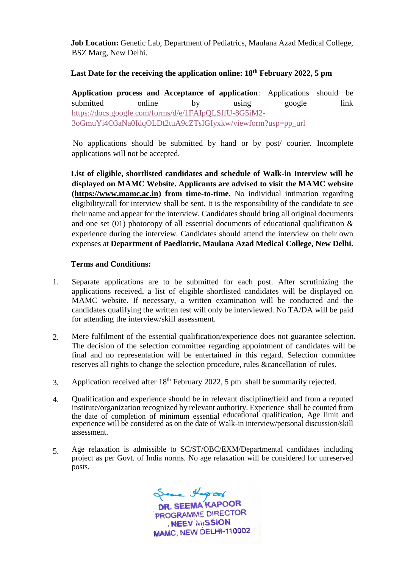**Job Location:** Genetic Lab, Department of Pediatrics, Maulana Azad Medical College, BSZ Marg, New Delhi.

### **Last Date for the receiving the application online: 18 th February 2022, 5 pm**

**Application process and Acceptance of application**: Applications should be submitted online by using google link [https://docs.google.com/forms/d/e/1FAIpQLSffU-8G5iM2-](https://docs.google.com/forms/d/e/1FAIpQLSffU-8G5iM2-3oGmuYi4O3aNa0IdqOLDt2tuA9cZTsIGIyxkw/viewform?usp=pp_url) [3oGmuYi4O3aNa0IdqOLDt2tuA9cZTsIGIyxkw/viewform?usp=pp\\_url](https://docs.google.com/forms/d/e/1FAIpQLSffU-8G5iM2-3oGmuYi4O3aNa0IdqOLDt2tuA9cZTsIGIyxkw/viewform?usp=pp_url)

 No applications should be submitted by hand or by post/ courier. Incomplete applications will not be accepted.

 **List of eligible, shortlisted candidates and schedule of Walk-in Interview will be displayed on MAMC Website. Applicants are advised to visit the MAMC website (https://www.mamc.ac.in) from time-to-time.** No individual intimation regarding eligibility/call for interview shall be sent. It is the responsibility of the candidate to see their name and appear for the interview. Candidates should bring all original documents and one set  $(01)$  photocopy of all essential documents of educational qualification  $\&$ experience during the interview. Candidates should attend the interview on their own expenses at **Department of Paediatric, Maulana Azad Medical College, New Delhi.**

### **Terms and Conditions:**

- 1. Separate applications are to be submitted for each post. After scrutinizing the applications received, a list of eligible shortlisted candidates will be displayed on MAMC website. If necessary, a written examination will be conducted and the candidates qualifying the written test will only be interviewed. No TA/DA will be paid for attending the interview/skill assessment.
- 2. Mere fulfilment of the essential qualification/experience does not guarantee selection. The decision of the selection committee regarding appointment of candidates will be final and no representation will be entertained in this regard. Selection committee reserves all rights to change the selection procedure, rules &cancellation of rules.
- 3. Application received after 18<sup>th</sup> February 2022, 5 pm shall be summarily rejected.
- 4. Qualification and experience should be in relevant discipline/field and from a reputed institute/organization recognized by relevant authority. Experience shall be counted from the date of completion of minimum essential educational qualification, Age limit and experience will be considered as on the date of Walk-in interview/personal discussion/skill assessment.
- 5. Age relaxation is admissible to SC/ST/OBC/EXM/Departmental candidates including project as per Govt. of India norms. No age relaxation will be considered for unreserved posts.

en Hapter DR. SEEMA KAPOOR PROGRAMME DIRECTOR NEEV MISSION MAMC, NEW DELHI-110002